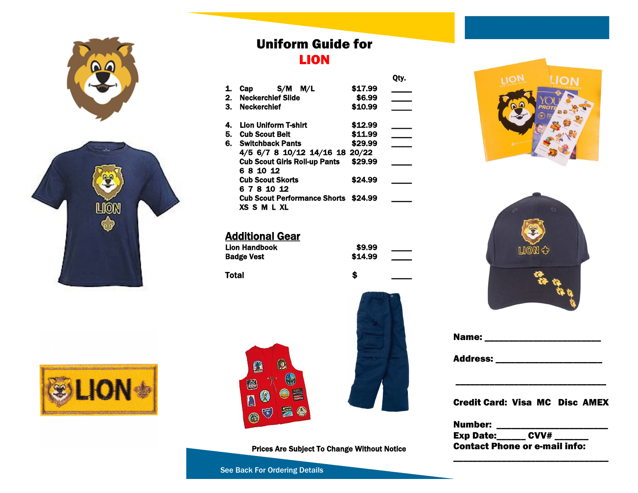



### Uniform Guide for LION

| 1. | S/M<br>M/L<br>Cap                           | \$17.99 |  |
|----|---------------------------------------------|---------|--|
| 2. | <b>Neckerchief Slide</b>                    | \$6.99  |  |
|    | 3. Neckerchief                              | \$10.99 |  |
| 4. | <b>Lion Uniform T-shirt</b>                 | \$12.99 |  |
|    | 5. Cub Scout Belt                           | \$11.99 |  |
| 6. | <b>Switchback Pants</b>                     | \$29.99 |  |
|    | 4/5 6/7 8 10/12 14/16 18 20/22              |         |  |
|    | <b>Cub Scout Girls Roll-up Pants</b>        | \$29.99 |  |
|    | 6 8 10 12                                   |         |  |
|    | <b>Cub Scout Skorts</b>                     | \$24.99 |  |
|    | 6 7 8 10 12                                 |         |  |
|    | <b>Cub Scout Performance Shorts \$24.99</b> |         |  |
|    | <b>XSSMLXL</b>                              |         |  |
|    |                                             |         |  |

#### Additional Gear

| Lion Handbook | \$9.99  |  |
|---------------|---------|--|
| Badge Vest    | \$14.99 |  |

Total \$ \_\_\_\_\_





Prices Are Subject To Change Without Notice

See Back For Ordering Details



Qty.

## Name: \_\_\_\_\_\_\_\_\_\_\_\_\_\_\_\_\_\_\_\_\_\_\_\_ Address: \_\_\_\_\_\_\_\_\_\_\_\_\_\_\_\_\_\_\_\_\_\_ \_\_\_\_\_\_\_\_\_\_\_\_\_\_\_\_\_\_\_\_\_\_\_\_\_\_\_\_\_\_\_ t Card: Visa MC Disc AMEX

Number: \_\_\_\_\_\_\_\_\_\_\_\_\_\_\_\_\_\_\_\_\_\_\_ Exp Date:\_\_\_\_\_\_ CVV# \_\_\_\_\_\_\_ Contact Phone or e-mail info:

\_\_\_\_\_\_\_\_\_\_\_\_\_\_\_\_\_\_\_\_\_\_\_\_\_\_\_\_\_\_\_\_





| <b>Credi</b> |
|--------------|
| <b>Numb</b>  |
|              |